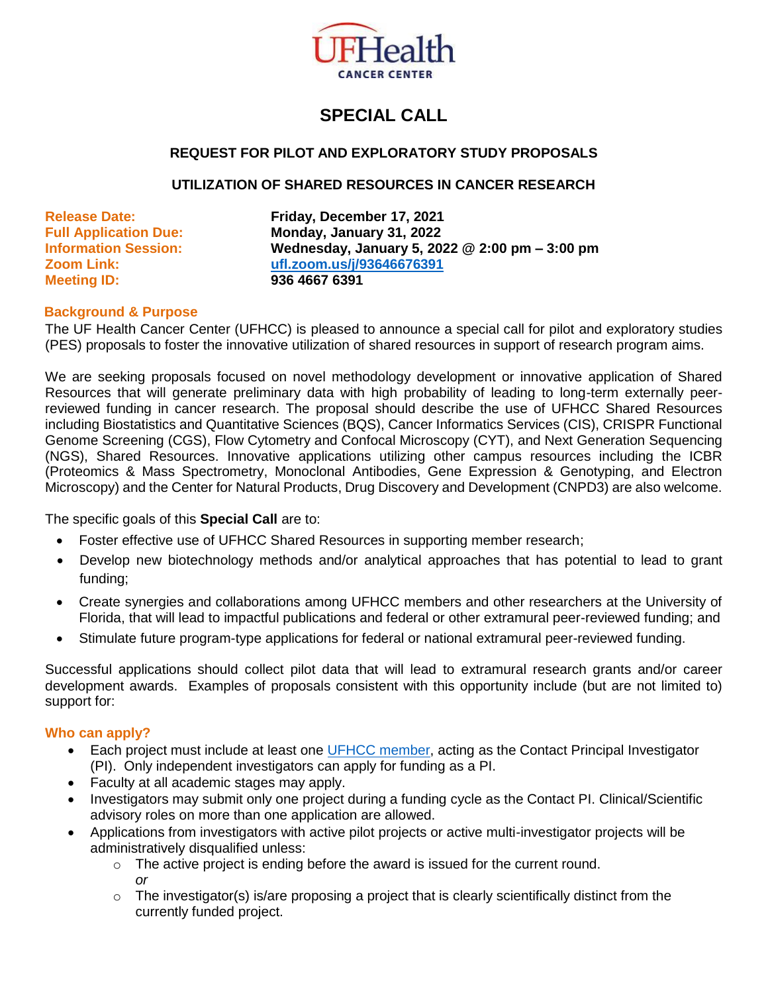

# **SPECIAL CALL**

# **REQUEST FOR PILOT AND EXPLORATORY STUDY PROPOSALS**

#### **UTILIZATION OF SHARED RESOURCES IN CANCER RESEARCH**

**Meeting ID: 936 4667 6391**

**Release Date: Friday, December 17, 2021 Full Application Due: Monday, January 31, 2022 Information Session: Wednesday, January 5, 2022 @ 2:00 pm – 3:00 pm Zoom Link: [ufl.zoom.us/j/93646676391](https://ufl.zoom.us/j/93646676391)**

#### **Background & Purpose**

The UF Health Cancer Center (UFHCC) is pleased to announce a special call for pilot and exploratory studies (PES) proposals to foster the innovative utilization of shared resources in support of research program aims.

We are seeking proposals focused on novel methodology development or innovative application of Shared Resources that will generate preliminary data with high probability of leading to long-term externally peerreviewed funding in cancer research. The proposal should describe the use of UFHCC Shared Resources including Biostatistics and Quantitative Sciences (BQS), Cancer Informatics Services (CIS), CRISPR Functional Genome Screening (CGS), Flow Cytometry and Confocal Microscopy (CYT), and Next Generation Sequencing (NGS), Shared Resources. Innovative applications utilizing other campus resources including the ICBR (Proteomics & Mass Spectrometry, Monoclonal Antibodies, Gene Expression & Genotyping, and Electron Microscopy) and the Center for Natural Products, Drug Discovery and Development (CNPD3) are also welcome.

The specific goals of this **Special Call** are to:

- Foster effective use of UFHCC Shared Resources in supporting member research:
- Develop new biotechnology methods and/or analytical approaches that has potential to lead to grant funding;
- Create synergies and collaborations among UFHCC members and other researchers at the University of Florida, that will lead to impactful publications and federal or other extramural peer-reviewed funding; and
- Stimulate future program-type applications for federal or national extramural peer-reviewed funding.

Successful applications should collect pilot data that will lead to extramural research grants and/or career development awards. Examples of proposals consistent with this opportunity include (but are not limited to) support for:

## **Who can apply?**

- Each project must include at least one [UFHCC member,](https://cancer.ufl.edu/members/membership-2/) acting as the Contact Principal Investigator (PI). Only independent investigators can apply for funding as a PI.
- Faculty at all academic stages may apply.
- Investigators may submit only one project during a funding cycle as the Contact PI. Clinical/Scientific advisory roles on more than one application are allowed.
- Applications from investigators with active pilot projects or active multi-investigator projects will be administratively disqualified unless:
	- $\circ$  The active project is ending before the award is issued for the current round. *or*
	- o The investigator(s) is/are proposing a project that is clearly scientifically distinct from the currently funded project.